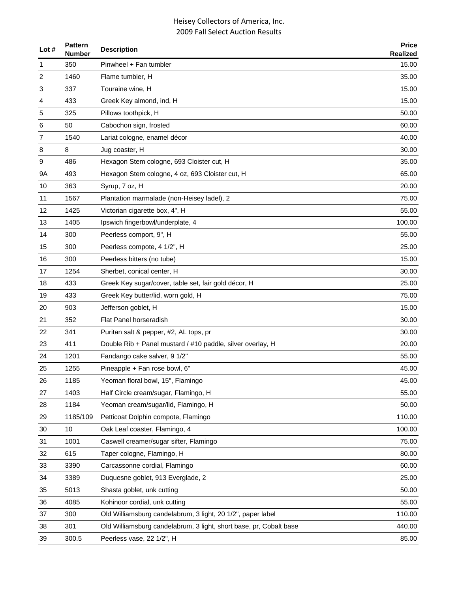| Lot $#$ | Pattern<br><b>Number</b> | <b>Description</b>                                                 | <b>Price</b><br><b>Realized</b> |
|---------|--------------------------|--------------------------------------------------------------------|---------------------------------|
| 1       | 350                      | Pinwheel + Fan tumbler                                             | 15.00                           |
| 2       | 1460                     | Flame tumbler, H                                                   | 35.00                           |
| 3       | 337                      | Touraine wine, H                                                   | 15.00                           |
| 4       | 433                      | Greek Key almond, ind, H                                           | 15.00                           |
| 5       | 325                      | Pillows toothpick, H                                               | 50.00                           |
| 6       | 50                       | Cabochon sign, frosted                                             | 60.00                           |
| 7       | 1540                     | Lariat cologne, enamel décor                                       | 40.00                           |
| 8       | 8                        | Jug coaster, H                                                     | 30.00                           |
| 9       | 486                      | Hexagon Stem cologne, 693 Cloister cut, H                          | 35.00                           |
| 9A      | 493                      | Hexagon Stem cologne, 4 oz, 693 Cloister cut, H                    | 65.00                           |
| 10      | 363                      | Syrup, 7 oz, H                                                     | 20.00                           |
| 11      | 1567                     | Plantation marmalade (non-Heisey ladel), 2                         | 75.00                           |
| 12      | 1425                     | Victorian cigarette box, 4", H                                     | 55.00                           |
| 13      | 1405                     | Ipswich fingerbowl/underplate, 4                                   | 100.00                          |
| 14      | 300                      | Peerless comport, 9", H                                            | 55.00                           |
| 15      | 300                      | Peerless compote, 4 1/2", H                                        | 25.00                           |
| 16      | 300                      | Peerless bitters (no tube)                                         | 15.00                           |
| 17      | 1254                     | Sherbet, conical center, H                                         | 30.00                           |
| 18      | 433                      | Greek Key sugar/cover, table set, fair gold décor, H               | 25.00                           |
| 19      | 433                      | Greek Key butter/lid, worn gold, H                                 | 75.00                           |
| 20      | 903                      | Jefferson goblet, H                                                | 15.00                           |
| 21      | 352                      | Flat Panel horseradish                                             | 30.00                           |
| 22      | 341                      | Puritan salt & pepper, #2, AL tops, pr                             | 30.00                           |
| 23      | 411                      | Double Rib + Panel mustard / #10 paddle, silver overlay, H         | 20.00                           |
| 24      | 1201                     | Fandango cake salver, 9 1/2"                                       | 55.00                           |
| 25      | 1255                     | Pineapple + Fan rose bowl, 6"                                      | 45.00                           |
| 26      | 1185                     | Yeoman floral bowl, 15", Flamingo                                  | 45.00                           |
| 27      | 1403                     | Half Circle cream/sugar, Flamingo, H                               | 55.00                           |
| 28      | 1184                     | Yeoman cream/sugar/lid, Flamingo, H                                | 50.00                           |
| 29      | 1185/109                 | Petticoat Dolphin compote, Flamingo                                | 110.00                          |
| 30      | 10                       | Oak Leaf coaster, Flamingo, 4                                      | 100.00                          |
| 31      | 1001                     | Caswell creamer/sugar sifter, Flamingo                             | 75.00                           |
| 32      | 615                      | Taper cologne, Flamingo, H                                         | 80.00                           |
| 33      | 3390                     | Carcassonne cordial, Flamingo                                      | 60.00                           |
| 34      | 3389                     | Duquesne goblet, 913 Everglade, 2                                  | 25.00                           |
| 35      | 5013                     | Shasta goblet, unk cutting                                         | 50.00                           |
| 36      | 4085                     | Kohinoor cordial, unk cutting                                      | 55.00                           |
| 37      | 300                      | Old Williamsburg candelabrum, 3 light, 20 1/2", paper label        | 110.00                          |
| 38      | 301                      | Old Williamsburg candelabrum, 3 light, short base, pr, Cobalt base | 440.00                          |
| 39      | 300.5                    | Peerless vase, 22 1/2", H                                          | 85.00                           |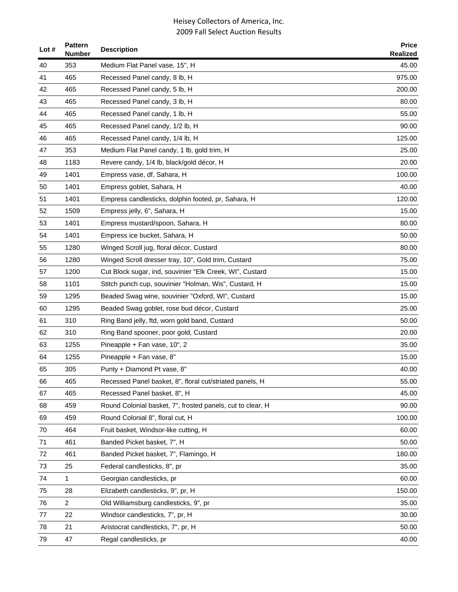| Lot $#$ | <b>Pattern</b><br>Number | <b>Description</b>                                         | <b>Price</b><br><b>Realized</b> |
|---------|--------------------------|------------------------------------------------------------|---------------------------------|
| 40      | 353                      | Medium Flat Panel vase, 15", H                             | 45.00                           |
| 41      | 465                      | Recessed Panel candy, 8 lb, H                              | 975.00                          |
| 42      | 465                      | Recessed Panel candy, 5 lb, H                              | 200.00                          |
| 43      | 465                      | Recessed Panel candy, 3 lb, H                              | 80.00                           |
| 44      | 465                      | Recessed Panel candy, 1 lb, H                              | 55.00                           |
| 45      | 465                      | Recessed Panel candy, 1/2 lb, H                            | 90.00                           |
| 46      | 465                      | Recessed Panel candy, 1/4 lb, H                            | 125.00                          |
| 47      | 353                      | Medium Flat Panel candy, 1 lb, gold trim, H                | 25.00                           |
| 48      | 1183                     | Revere candy, 1/4 lb, black/gold décor, H                  | 20.00                           |
| 49      | 1401                     | Empress vase, df, Sahara, H                                | 100.00                          |
| 50      | 1401                     | Empress goblet, Sahara, H                                  | 40.00                           |
| 51      | 1401                     | Empress candlesticks, dolphin footed, pr, Sahara, H        | 120.00                          |
| 52      | 1509                     | Empress jelly, 6", Sahara, H                               | 15.00                           |
| 53      | 1401                     | Empress mustard/spoon, Sahara, H                           | 80.00                           |
| 54      | 1401                     | Empress ice bucket, Sahara, H                              | 50.00                           |
| 55      | 1280                     | Winged Scroll jug, floral décor, Custard                   | 80.00                           |
| 56      | 1280                     | Winged Scroll dresser tray, 10", Gold trim, Custard        | 75.00                           |
| 57      | 1200                     | Cut Block sugar, ind, souvinier "Elk Creek, WI", Custard   | 15.00                           |
| 58      | 1101                     | Stitch punch cup, souvinier "Holman, Wis", Custard, H      | 15.00                           |
| 59      | 1295                     | Beaded Swag wine, souvinier "Oxford, WI", Custard          | 15.00                           |
| 60      | 1295                     | Beaded Swag goblet, rose bud décor, Custard                | 25.00                           |
| 61      | 310                      | Ring Band jelly, ftd, worn gold band, Custard              | 50.00                           |
| 62      | 310                      | Ring Band spooner, poor gold, Custard                      | 20.00                           |
| 63      | 1255                     | Pineapple + Fan vase, 10", 2                               | 35.00                           |
| 64      | 1255                     | Pineapple + Fan vase, 8"                                   | 15.00                           |
| 65      | 305                      | Punty + Diamond Pt vase, 8"                                | 40.00                           |
| 66      | 465                      | Recessed Panel basket, 8", floral cut/striated panels, H   | 55.00                           |
| 67      | 465                      | Recessed Panel basket, 8", H                               | 45.00                           |
| 68      | 459                      | Round Colonial basket, 7", frosted panels, cut to clear, H | 90.00                           |
| 69      | 459                      | Round Colonial 8", floral cut, H                           | 100.00                          |
| 70      | 464                      | Fruit basket, Windsor-like cutting, H                      | 60.00                           |
| 71      | 461                      | Banded Picket basket, 7", H                                | 50.00                           |
| 72      | 461                      | Banded Picket basket, 7", Flamingo, H                      | 180.00                          |
| 73      | 25                       | Federal candlesticks, 8", pr                               | 35.00                           |
| 74      | 1                        | Georgian candlesticks, pr                                  | 60.00                           |
| 75      | 28                       | Elizabeth candlesticks, 9", pr, H                          | 150.00                          |
| 76      | $\overline{c}$           | Old Williamsburg candlesticks, 9", pr                      | 35.00                           |
| 77      | 22                       | Windsor candlesticks, 7", pr, H                            | 30.00                           |
| 78      | 21                       | Aristocrat candlesticks, 7", pr, H                         | 50.00                           |
| 79      | 47                       | Regal candlesticks, pr                                     | 40.00                           |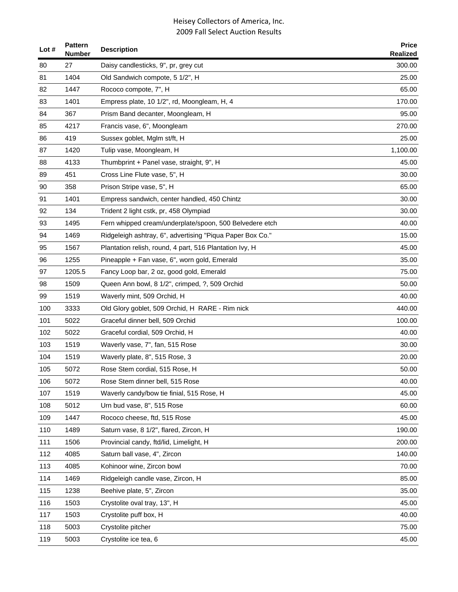| Lot $#$ | <b>Pattern</b><br><b>Number</b> | <b>Description</b>                                        | <b>Price</b><br><b>Realized</b> |
|---------|---------------------------------|-----------------------------------------------------------|---------------------------------|
| 80      | 27                              | Daisy candlesticks, 9", pr, grey cut                      | 300.00                          |
| 81      | 1404                            | Old Sandwich compote, 5 1/2", H                           | 25.00                           |
| 82      | 1447                            | Rococo compote, 7", H                                     | 65.00                           |
| 83      | 1401                            | Empress plate, 10 1/2", rd, Moongleam, H, 4               | 170.00                          |
| 84      | 367                             | Prism Band decanter, Moongleam, H                         | 95.00                           |
| 85      | 4217                            | Francis vase, 6", Moongleam                               | 270.00                          |
| 86      | 419                             | Sussex goblet, Mglm st/ft, H                              | 25.00                           |
| 87      | 1420                            | Tulip vase, Moongleam, H                                  | 1,100.00                        |
| 88      | 4133                            | Thumbprint + Panel vase, straight, 9", H                  | 45.00                           |
| 89      | 451                             | Cross Line Flute vase, 5", H                              | 30.00                           |
| 90      | 358                             | Prison Stripe vase, 5", H                                 | 65.00                           |
| 91      | 1401                            | Empress sandwich, center handled, 450 Chintz              | 30.00                           |
| 92      | 134                             | Trident 2 light cstk, pr, 458 Olympiad                    | 30.00                           |
| 93      | 1495                            | Fern whipped cream/underplate/spoon, 500 Belvedere etch   | 40.00                           |
| 94      | 1469                            | Ridgeleigh ashtray, 6", advertising "Piqua Paper Box Co." | 15.00                           |
| 95      | 1567                            | Plantation relish, round, 4 part, 516 Plantation Ivy, H   | 45.00                           |
| 96      | 1255                            | Pineapple + Fan vase, 6", worn gold, Emerald              | 35.00                           |
| 97      | 1205.5                          | Fancy Loop bar, 2 oz, good gold, Emerald                  | 75.00                           |
| 98      | 1509                            | Queen Ann bowl, 8 1/2", crimped, ?, 509 Orchid            | 50.00                           |
| 99      | 1519                            | Waverly mint, 509 Orchid, H                               | 40.00                           |
| 100     | 3333                            | Old Glory goblet, 509 Orchid, H RARE - Rim nick           | 440.00                          |
| 101     | 5022                            | Graceful dinner bell, 509 Orchid                          | 100.00                          |
| 102     | 5022                            | Graceful cordial, 509 Orchid, H                           | 40.00                           |
| 103     | 1519                            | Waverly vase, 7", fan, 515 Rose                           | 30.00                           |
| 104     | 1519                            | Waverly plate, 8", 515 Rose, 3                            | 20.00                           |
| 105     | 5072                            | Rose Stem cordial, 515 Rose, H                            | 50.00                           |
| 106     | 5072                            | Rose Stem dinner bell, 515 Rose                           | 40.00                           |
| 107     | 1519                            | Waverly candy/bow tie finial, 515 Rose, H                 | 45.00                           |
| 108     | 5012                            | Urn bud vase, 8", 515 Rose                                | 60.00                           |
| 109     | 1447                            | Rococo cheese, ftd, 515 Rose                              | 45.00                           |
| 110     | 1489                            | Saturn vase, 8 1/2", flared, Zircon, H                    | 190.00                          |
| 111     | 1506                            | Provincial candy, ftd/lid, Limelight, H                   | 200.00                          |
| 112     | 4085                            | Saturn ball vase, 4", Zircon                              | 140.00                          |
| 113     | 4085                            | Kohinoor wine, Zircon bowl                                | 70.00                           |
| 114     | 1469                            | Ridgeleigh candle vase, Zircon, H                         | 85.00                           |
| 115     | 1238                            | Beehive plate, 5", Zircon                                 | 35.00                           |
| 116     | 1503                            | Crystolite oval tray, 13", H                              | 45.00                           |
| 117     | 1503                            | Crystolite puff box, H                                    | 40.00                           |
| 118     | 5003                            | Crystolite pitcher                                        | 75.00                           |
| 119     | 5003                            | Crystolite ice tea, 6                                     | 45.00                           |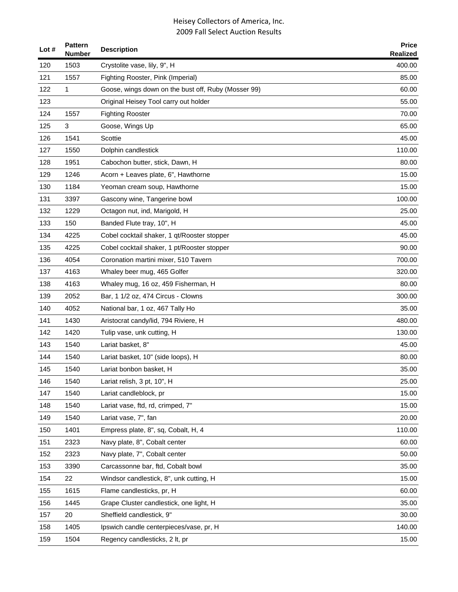| Lot $#$ | <b>Pattern</b><br><b>Number</b> | <b>Description</b>                                  | <b>Price</b><br><b>Realized</b> |
|---------|---------------------------------|-----------------------------------------------------|---------------------------------|
| 120     | 1503                            | Crystolite vase, lily, 9", H                        | 400.00                          |
| 121     | 1557                            | Fighting Rooster, Pink (Imperial)                   | 85.00                           |
| 122     | 1                               | Goose, wings down on the bust off, Ruby (Mosser 99) | 60.00                           |
| 123     |                                 | Original Heisey Tool carry out holder               | 55.00                           |
| 124     | 1557                            | <b>Fighting Rooster</b>                             | 70.00                           |
| 125     | 3                               | Goose, Wings Up                                     | 65.00                           |
| 126     | 1541                            | Scottie                                             | 45.00                           |
| 127     | 1550                            | Dolphin candlestick                                 | 110.00                          |
| 128     | 1951                            | Cabochon butter, stick, Dawn, H                     | 80.00                           |
| 129     | 1246                            | Acorn + Leaves plate, 6", Hawthorne                 | 15.00                           |
| 130     | 1184                            | Yeoman cream soup, Hawthorne                        | 15.00                           |
| 131     | 3397                            | Gascony wine, Tangerine bowl                        | 100.00                          |
| 132     | 1229                            | Octagon nut, ind, Marigold, H                       | 25.00                           |
| 133     | 150                             | Banded Flute tray, 10", H                           | 45.00                           |
| 134     | 4225                            | Cobel cocktail shaker, 1 qt/Rooster stopper         | 45.00                           |
| 135     | 4225                            | Cobel cocktail shaker, 1 pt/Rooster stopper         | 90.00                           |
| 136     | 4054                            | Coronation martini mixer, 510 Tavern                | 700.00                          |
| 137     | 4163                            | Whaley beer mug, 465 Golfer                         | 320.00                          |
| 138     | 4163                            | Whaley mug, 16 oz, 459 Fisherman, H                 | 80.00                           |
| 139     | 2052                            | Bar, 1 1/2 oz, 474 Circus - Clowns                  | 300.00                          |
| 140     | 4052                            | National bar, 1 oz, 467 Tally Ho                    | 35.00                           |
| 141     | 1430                            | Aristocrat candy/lid, 794 Riviere, H                | 480.00                          |
| 142     | 1420                            | Tulip vase, unk cutting, H                          | 130.00                          |
| 143     | 1540                            | Lariat basket, 8"                                   | 45.00                           |
| 144     | 1540                            | Lariat basket, 10" (side loops), H                  | 80.00                           |
| 145     | 1540                            | Lariat bonbon basket, H                             | 35.00                           |
| 146     | 1540                            | Lariat relish, 3 pt, 10", H                         | 25.00                           |
| 147     | 1540                            | Lariat candleblock, pr                              | 15.00                           |
| 148     | 1540                            | Lariat vase, ftd, rd, crimped, 7"                   | 15.00                           |
| 149     | 1540                            | Lariat vase, 7", fan                                | 20.00                           |
| 150     | 1401                            | Empress plate, 8", sq, Cobalt, H, 4                 | 110.00                          |
| 151     | 2323                            | Navy plate, 8", Cobalt center                       | 60.00                           |
| 152     | 2323                            | Navy plate, 7", Cobalt center                       | 50.00                           |
| 153     | 3390                            | Carcassonne bar, ftd, Cobalt bowl                   | 35.00                           |
| 154     | 22                              | Windsor candlestick, 8", unk cutting, H             | 15.00                           |
| 155     | 1615                            | Flame candlesticks, pr, H                           | 60.00                           |
| 156     | 1445                            | Grape Cluster candlestick, one light, H             | 35.00                           |
| 157     | 20                              | Sheffield candlestick, 9"                           | 30.00                           |
| 158     | 1405                            | Ipswich candle centerpieces/vase, pr, H             | 140.00                          |
| 159     | 1504                            | Regency candlesticks, 2 lt, pr                      | 15.00                           |